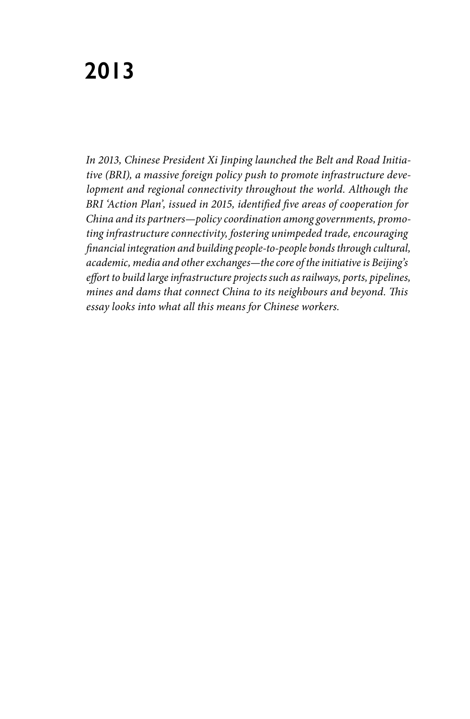## **2013**

*In 2013, Chinese President Xi Jinping launched the Belt and Road Initiative (BRI), a massive foreign policy push to promote infrastructure development and regional connectivity throughout the world. Although the BRI 'Action Plan', issued in 2015, identified five areas of cooperation for China and its partners—policy coordination among governments, promoting infrastructure connectivity, fostering unimpeded trade, encouraging financial integration and building people-to-people bonds through cultural, academic, media and other exchanges—the core of the initiative is Beijing's effort to build large infrastructure projects such as railways, ports, pipelines, mines and dams that connect China to its neighbours and beyond. This essay looks into what all this means for Chinese workers.*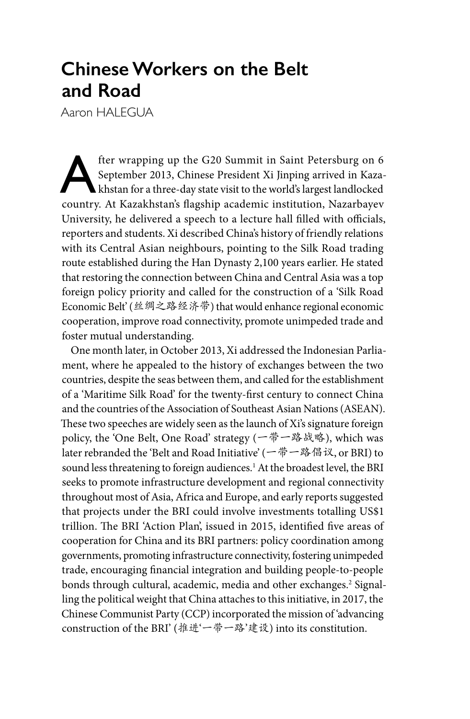## **Chinese Workers on the Belt and Road**

Aaron HALEGUA

fter wrapping up the G20 Summit in Saint Petersburg on 6<br>September 2013, Chinese President Xi Jinping arrived in Kaza-<br>khstan for a three-day state visit to the world's largest landlocked<br>country. At Kazakhstan's flagshin September 2013, Chinese President Xi Jinping arrived in Kazakhstan for a three-day state visit to the world's largest landlocked country. At Kazakhstan's flagship academic institution, Nazarbayev University, he delivered a speech to a lecture hall filled with officials, reporters and students. Xi described China's history of friendly relations with its Central Asian neighbours, pointing to the Silk Road trading route established during the Han Dynasty 2,100 years earlier. He stated that restoring the connection between China and Central Asia was a top foreign policy priority and called for the construction of a 'Silk Road Economic Belt' (丝绸之路经济带) that would enhance regional economic cooperation, improve road connectivity, promote unimpeded trade and foster mutual understanding.

One month later, in October 2013, Xi addressed the Indonesian Parliament, where he appealed to the history of exchanges between the two countries, despite the seas between them, and called for the establishment of a 'Maritime Silk Road' for the twenty-first century to connect China and the countries of the Association of Southeast Asian Nations (ASEAN). These two speeches are widely seen as the launch of Xi's signature foreign policy, the 'One Belt, One Road' strategy (一带一路战略), which was later rebranded the 'Belt and Road Initiative' (一带一路倡议, or BRI) to sound less threatening to foreign audiences.<sup>1</sup> At the broadest level, the BRI seeks to promote infrastructure development and regional connectivity throughout most of Asia, Africa and Europe, and early reports suggested that projects under the BRI could involve investments totalling US\$1 trillion. The BRI 'Action Plan', issued in 2015, identified five areas of cooperation for China and its BRI partners: policy coordination among governments, promoting infrastructure connectivity, fostering unimpeded trade, encouraging financial integration and building people-to-people bonds through cultural, academic, media and other exchanges.<sup>2</sup> Signalling the political weight that China attaches to this initiative, in 2017, the Chinese Communist Party (CCP) incorporated the mission of 'advancing construction of the BRI' (推进'一带一路'建设) into its constitution.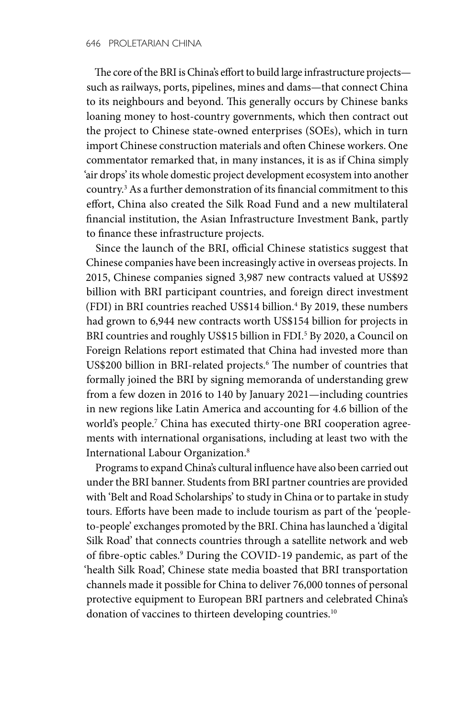The core of the BRI is China's effort to build large infrastructure projects such as railways, ports, pipelines, mines and dams—that connect China to its neighbours and beyond. This generally occurs by Chinese banks loaning money to host-country governments, which then contract out the project to Chinese state-owned enterprises (SOEs), which in turn import Chinese construction materials and often Chinese workers. One commentator remarked that, in many instances, it is as if China simply 'air drops' its whole domestic project development ecosystem into another country.3 As a further demonstration of its financial commitment to this effort, China also created the Silk Road Fund and a new multilateral financial institution, the Asian Infrastructure Investment Bank, partly to finance these infrastructure projects.

Since the launch of the BRI, official Chinese statistics suggest that Chinese companies have been increasingly active in overseas projects. In 2015, Chinese companies signed 3,987 new contracts valued at US\$92 billion with BRI participant countries, and foreign direct investment  $(FDI)$  in BRI countries reached US\$14 billion.<sup>4</sup> By 2019, these numbers had grown to 6,944 new contracts worth US\$154 billion for projects in BRI countries and roughly US\$15 billion in FDI.<sup>5</sup> By 2020, a Council on Foreign Relations report estimated that China had invested more than US\$200 billion in BRI-related projects.<sup>6</sup> The number of countries that formally joined the BRI by signing memoranda of understanding grew from a few dozen in 2016 to 140 by January 2021—including countries in new regions like Latin America and accounting for 4.6 billion of the world's people.7 China has executed thirty-one BRI cooperation agreements with international organisations, including at least two with the International Labour Organization.8

Programs to expand China's cultural influence have also been carried out under the BRI banner. Students from BRI partner countries are provided with 'Belt and Road Scholarships' to study in China or to partake in study tours. Efforts have been made to include tourism as part of the 'peopleto-people' exchanges promoted by the BRI. China has launched a 'digital Silk Road' that connects countries through a satellite network and web of fibre-optic cables.9 During the COVID-19 pandemic, as part of the 'health Silk Road', Chinese state media boasted that BRI transportation channels made it possible for China to deliver 76,000 tonnes of personal protective equipment to European BRI partners and celebrated China's donation of vaccines to thirteen developing countries.<sup>10</sup>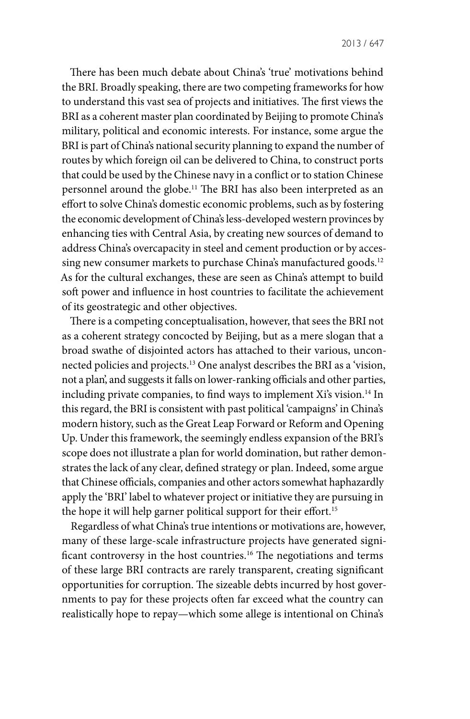There has been much debate about China's 'true' motivations behind the BRI. Broadly speaking, there are two competing frameworks for how to understand this vast sea of projects and initiatives. The first views the BRI as a coherent master plan coordinated by Beijing to promote China's military, political and economic interests. For instance, some argue the BRI is part of China's national security planning to expand the number of routes by which foreign oil can be delivered to China, to construct ports that could be used by the Chinese navy in a conflict or to station Chinese personnel around the globe.11 The BRI has also been interpreted as an effort to solve China's domestic economic problems, such as by fostering the economic development of China's less-developed western provinces by enhancing ties with Central Asia, by creating new sources of demand to address China's overcapacity in steel and cement production or by accessing new consumer markets to purchase China's manufactured goods.<sup>12</sup> As for the cultural exchanges, these are seen as China's attempt to build soft power and influence in host countries to facilitate the achievement of its geostrategic and other objectives.

There is a competing conceptualisation, however, that sees the BRI not as a coherent strategy concocted by Beijing, but as a mere slogan that a broad swathe of disjointed actors has attached to their various, unconnected policies and projects.13 One analyst describes the BRI as a 'vision, not a plan', and suggests it falls on lower-ranking officials and other parties, including private companies, to find ways to implement Xi's vision.<sup>14</sup> In this regard, the BRI is consistent with past political 'campaigns' in China's modern history, such as the Great Leap Forward or Reform and Opening Up. Under this framework, the seemingly endless expansion of the BRI's scope does not illustrate a plan for world domination, but rather demonstrates the lack of any clear, defined strategy or plan. Indeed, some argue that Chinese officials, companies and other actors somewhat haphazardly apply the 'BRI' label to whatever project or initiative they are pursuing in the hope it will help garner political support for their effort.<sup>15</sup>

Regardless of what China's true intentions or motivations are, however, many of these large-scale infrastructure projects have generated significant controversy in the host countries.<sup>16</sup> The negotiations and terms of these large BRI contracts are rarely transparent, creating significant opportunities for corruption. The sizeable debts incurred by host governments to pay for these projects often far exceed what the country can realistically hope to repay—which some allege is intentional on China's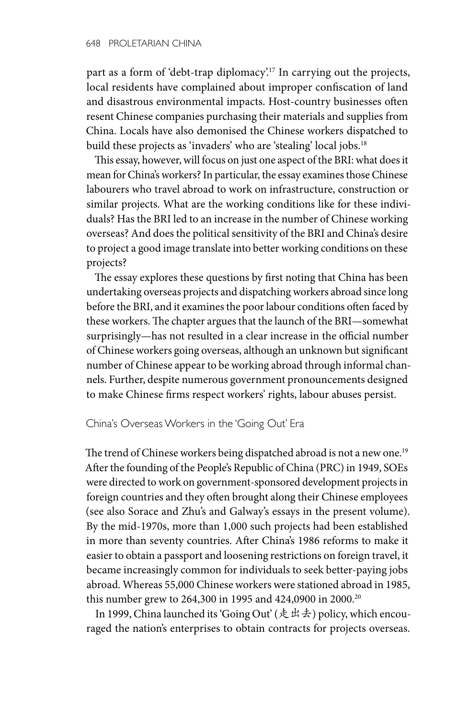part as a form of 'debt-trap diplomacy'.17 In carrying out the projects, local residents have complained about improper confiscation of land and disastrous environmental impacts. Host-country businesses often resent Chinese companies purchasing their materials and supplies from China. Locals have also demonised the Chinese workers dispatched to build these projects as 'invaders' who are 'stealing' local jobs.<sup>18</sup>

This essay, however, will focus on just one aspect of the BRI: what does it mean for China's workers? In particular, the essay examines those Chinese labourers who travel abroad to work on infrastructure, construction or similar projects. What are the working conditions like for these individuals? Has the BRI led to an increase in the number of Chinese working overseas? And does the political sensitivity of the BRI and China's desire to project a good image translate into better working conditions on these projects?

The essay explores these questions by first noting that China has been undertaking overseas projects and dispatching workers abroad since long before the BRI, and it examines the poor labour conditions often faced by these workers. The chapter argues that the launch of the BRI—somewhat surprisingly—has not resulted in a clear increase in the official number of Chinese workers going overseas, although an unknown but significant number of Chinese appear to be working abroad through informal channels. Further, despite numerous government pronouncements designed to make Chinese firms respect workers' rights, labour abuses persist.

China's Overseas Workers in the 'Going Out' Era

The trend of Chinese workers being dispatched abroad is not a new one.<sup>19</sup> After the founding of the People's Republic of China (PRC) in 1949, SOEs were directed to work on government-sponsored development projects in foreign countries and they often brought along their Chinese employees (see also Sorace and Zhu's and Galway's essays in the present volume). By the mid-1970s, more than 1,000 such projects had been established in more than seventy countries. After China's 1986 reforms to make it easier to obtain a passport and loosening restrictions on foreign travel, it became increasingly common for individuals to seek better-paying jobs abroad. Whereas 55,000 Chinese workers were stationed abroad in 1985, this number grew to 264,300 in 1995 and 424,0900 in 2000.20

In 1999, China launched its 'Going Out' (走出去) policy, which encouraged the nation's enterprises to obtain contracts for projects overseas.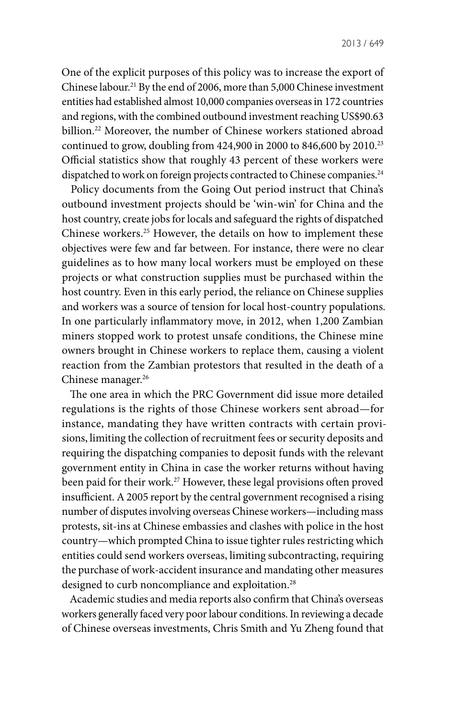One of the explicit purposes of this policy was to increase the export of Chinese labour.21 By the end of 2006, more than 5,000 Chinese investment entities had established almost 10,000 companies overseas in 172 countries and regions, with the combined outbound investment reaching US\$90.63 billion.22 Moreover, the number of Chinese workers stationed abroad continued to grow, doubling from  $424,900$  in 2000 to  $846,600$  by  $2010.<sup>23</sup>$ Official statistics show that roughly 43 percent of these workers were dispatched to work on foreign projects contracted to Chinese companies.<sup>24</sup>

Policy documents from the Going Out period instruct that China's outbound investment projects should be 'win-win' for China and the host country, create jobs for locals and safeguard the rights of dispatched Chinese workers.25 However, the details on how to implement these objectives were few and far between. For instance, there were no clear guidelines as to how many local workers must be employed on these projects or what construction supplies must be purchased within the host country. Even in this early period, the reliance on Chinese supplies and workers was a source of tension for local host-country populations. In one particularly inflammatory move, in 2012, when 1,200 Zambian miners stopped work to protest unsafe conditions, the Chinese mine owners brought in Chinese workers to replace them, causing a violent reaction from the Zambian protestors that resulted in the death of a Chinese manager.<sup>26</sup>

The one area in which the PRC Government did issue more detailed regulations is the rights of those Chinese workers sent abroad—for instance, mandating they have written contracts with certain provisions, limiting the collection of recruitment fees or security deposits and requiring the dispatching companies to deposit funds with the relevant government entity in China in case the worker returns without having been paid for their work.<sup>27</sup> However, these legal provisions often proved insufficient. A 2005 report by the central government recognised a rising number of disputes involving overseas Chinese workers—including mass protests, sit-ins at Chinese embassies and clashes with police in the host country—which prompted China to issue tighter rules restricting which entities could send workers overseas, limiting subcontracting, requiring the purchase of work-accident insurance and mandating other measures designed to curb noncompliance and exploitation.<sup>28</sup>

Academic studies and media reports also confirm that China's overseas workers generally faced very poor labour conditions. In reviewing a decade of Chinese overseas investments, Chris Smith and Yu Zheng found that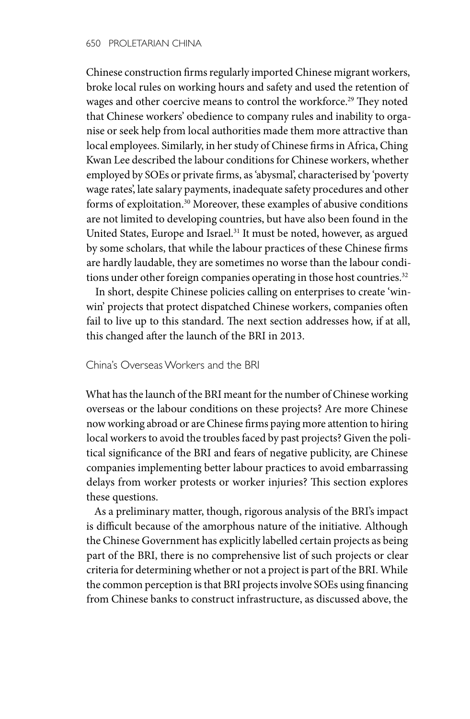Chinese construction firms regularly imported Chinese migrant workers, broke local rules on working hours and safety and used the retention of wages and other coercive means to control the workforce.<sup>29</sup> They noted that Chinese workers' obedience to company rules and inability to organise or seek help from local authorities made them more attractive than local employees. Similarly, in her study of Chinese firms in Africa, Ching Kwan Lee described the labour conditions for Chinese workers, whether employed by SOEs or private firms, as 'abysmal', characterised by 'poverty wage rates', late salary payments, inadequate safety procedures and other forms of exploitation.30 Moreover, these examples of abusive conditions are not limited to developing countries, but have also been found in the United States, Europe and Israel.<sup>31</sup> It must be noted, however, as argued by some scholars, that while the labour practices of these Chinese firms are hardly laudable, they are sometimes no worse than the labour conditions under other foreign companies operating in those host countries.<sup>32</sup>

In short, despite Chinese policies calling on enterprises to create 'winwin' projects that protect dispatched Chinese workers, companies often fail to live up to this standard. The next section addresses how, if at all, this changed after the launch of the BRI in 2013.

## China's Overseas Workers and the BRI

What has the launch of the BRI meant for the number of Chinese working overseas or the labour conditions on these projects? Are more Chinese now working abroad or are Chinese firms paying more attention to hiring local workers to avoid the troubles faced by past projects? Given the political significance of the BRI and fears of negative publicity, are Chinese companies implementing better labour practices to avoid embarrassing delays from worker protests or worker injuries? This section explores these questions.

As a preliminary matter, though, rigorous analysis of the BRI's impact is difficult because of the amorphous nature of the initiative. Although the Chinese Government has explicitly labelled certain projects as being part of the BRI, there is no comprehensive list of such projects or clear criteria for determining whether or not a project is part of the BRI. While the common perception is that BRI projects involve SOEs using financing from Chinese banks to construct infrastructure, as discussed above, the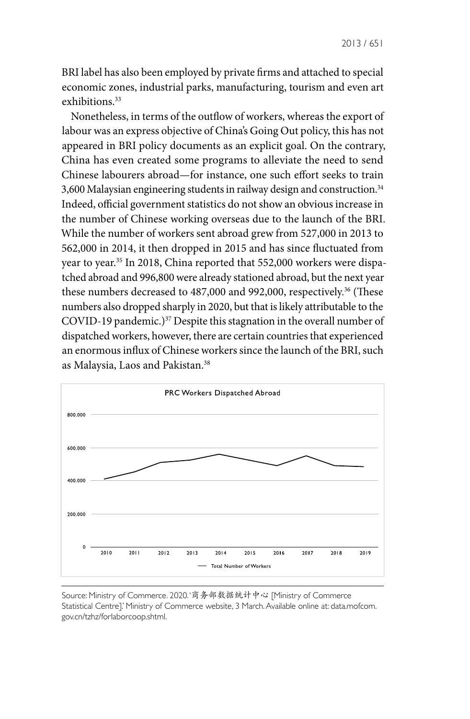BRI label has also been employed by private firms and attached to special economic zones, industrial parks, manufacturing, tourism and even art exhibitions.<sup>33</sup>

Nonetheless, in terms of the outflow of workers, whereas the export of labour was an express objective of China's Going Out policy, this has not appeared in BRI policy documents as an explicit goal. On the contrary, China has even created some programs to alleviate the need to send Chinese labourers abroad—for instance, one such effort seeks to train 3,600 Malaysian engineering students in railway design and construction.34 Indeed, official government statistics do not show an obvious increase in the number of Chinese working overseas due to the launch of the BRI. While the number of workers sent abroad grew from 527,000 in 2013 to 562,000 in 2014, it then dropped in 2015 and has since fluctuated from year to year.<sup>35</sup> In 2018, China reported that 552,000 workers were dispatched abroad and 996,800 were already stationed abroad, but the next year these numbers decreased to 487,000 and 992,000, respectively.<sup>36</sup> (These numbers also dropped sharply in 2020, but that is likely attributable to the COVID-19 pandemic.)<sup>37</sup> Despite this stagnation in the overall number of dispatched workers, however, there are certain countries that experienced an enormous influx of Chinese workers since the launch of the BRI, such as Malaysia, Laos and Pakistan.38



Source: Ministry of Commerce. 2020. '商务部数据统计中心 [Ministry of Commerce Statistical Centre].' Ministry of Commerce website, 3 March. Available online at: data.mofcom. gov.cn/tzhz/forlaborcoop.shtml.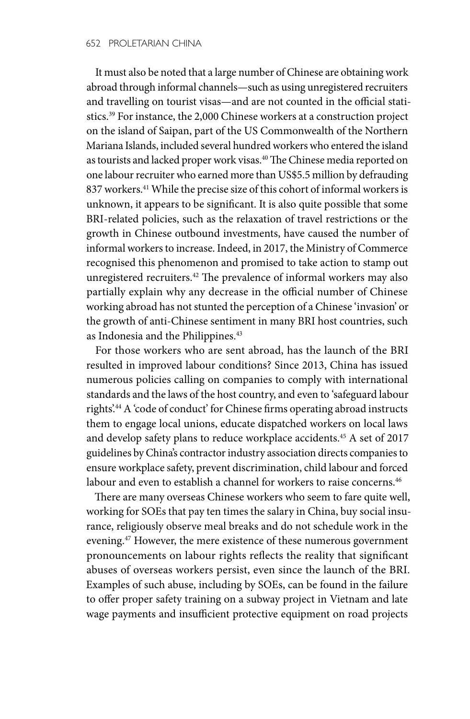It must also be noted that a large number of Chinese are obtaining work abroad through informal channels—such as using unregistered recruiters and travelling on tourist visas—and are not counted in the official statistics.39 For instance, the 2,000 Chinese workers at a construction project on the island of Saipan, part of the US Commonwealth of the Northern Mariana Islands, included several hundred workers who entered the island as tourists and lacked proper work visas.<sup>40</sup> The Chinese media reported on one labour recruiter who earned more than US\$5.5 million by defrauding 837 workers.<sup>41</sup> While the precise size of this cohort of informal workers is unknown, it appears to be significant. It is also quite possible that some BRI-related policies, such as the relaxation of travel restrictions or the growth in Chinese outbound investments, have caused the number of informal workers to increase. Indeed, in 2017, the Ministry of Commerce recognised this phenomenon and promised to take action to stamp out unregistered recruiters.42 The prevalence of informal workers may also partially explain why any decrease in the official number of Chinese working abroad has not stunted the perception of a Chinese 'invasion' or the growth of anti-Chinese sentiment in many BRI host countries, such as Indonesia and the Philippines.<sup>43</sup>

For those workers who are sent abroad, has the launch of the BRI resulted in improved labour conditions? Since 2013, China has issued numerous policies calling on companies to comply with international standards and the laws of the host country, and even to 'safeguard labour rights'.<sup>44</sup> A 'code of conduct' for Chinese firms operating abroad instructs them to engage local unions, educate dispatched workers on local laws and develop safety plans to reduce workplace accidents.<sup>45</sup> A set of 2017 guidelines by China's contractor industry association directs companies to ensure workplace safety, prevent discrimination, child labour and forced labour and even to establish a channel for workers to raise concerns.<sup>46</sup>

There are many overseas Chinese workers who seem to fare quite well, working for SOEs that pay ten times the salary in China, buy social insurance, religiously observe meal breaks and do not schedule work in the evening.47 However, the mere existence of these numerous government pronouncements on labour rights reflects the reality that significant abuses of overseas workers persist, even since the launch of the BRI. Examples of such abuse, including by SOEs, can be found in the failure to offer proper safety training on a subway project in Vietnam and late wage payments and insufficient protective equipment on road projects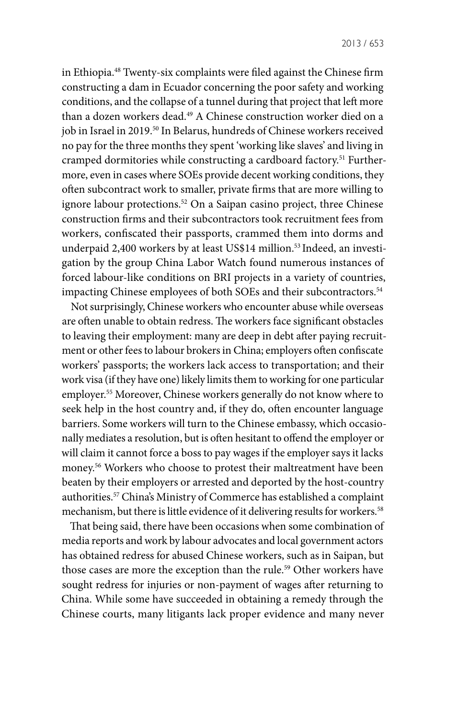in Ethiopia.48 Twenty-six complaints were filed against the Chinese firm constructing a dam in Ecuador concerning the poor safety and working conditions, and the collapse of a tunnel during that project that left more than a dozen workers dead.<sup>49</sup> A Chinese construction worker died on a job in Israel in 2019.<sup>50</sup> In Belarus, hundreds of Chinese workers received no pay for the three months they spent 'working like slaves' and living in cramped dormitories while constructing a cardboard factory.<sup>51</sup> Furthermore, even in cases where SOEs provide decent working conditions, they often subcontract work to smaller, private firms that are more willing to ignore labour protections.52 On a Saipan casino project, three Chinese construction firms and their subcontractors took recruitment fees from workers, confiscated their passports, crammed them into dorms and underpaid 2,400 workers by at least US\$14 million.<sup>53</sup> Indeed, an investigation by the group China Labor Watch found numerous instances of forced labour-like conditions on BRI projects in a variety of countries, impacting Chinese employees of both SOEs and their subcontractors.<sup>54</sup>

Not surprisingly, Chinese workers who encounter abuse while overseas are often unable to obtain redress. The workers face significant obstacles to leaving their employment: many are deep in debt after paying recruitment or other fees to labour brokers in China; employers often confiscate workers' passports; the workers lack access to transportation; and their work visa (if they have one) likely limits them to working for one particular employer.55 Moreover, Chinese workers generally do not know where to seek help in the host country and, if they do, often encounter language barriers. Some workers will turn to the Chinese embassy, which occasionally mediates a resolution, but is often hesitant to offend the employer or will claim it cannot force a boss to pay wages if the employer says it lacks money.56 Workers who choose to protest their maltreatment have been beaten by their employers or arrested and deported by the host-country authorities.57 China's Ministry of Commerce has established a complaint mechanism, but there is little evidence of it delivering results for workers.<sup>58</sup>

That being said, there have been occasions when some combination of media reports and work by labour advocates and local government actors has obtained redress for abused Chinese workers, such as in Saipan, but those cases are more the exception than the rule.<sup>59</sup> Other workers have sought redress for injuries or non-payment of wages after returning to China. While some have succeeded in obtaining a remedy through the Chinese courts, many litigants lack proper evidence and many never